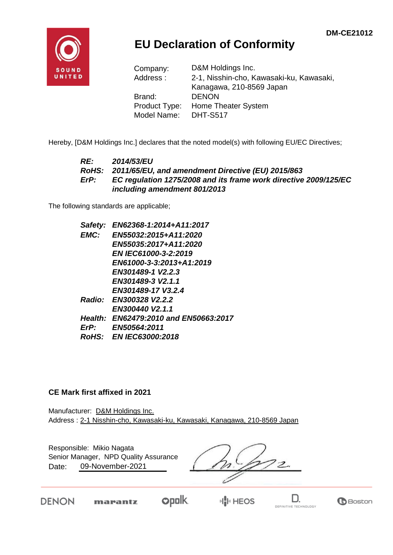

## **EU Declaration of Conformity**

| Company:      | D&M Holdings Inc.                        |  |  |  |
|---------------|------------------------------------------|--|--|--|
| Address:      | 2-1, Nisshin-cho, Kawasaki-ku, Kawasaki, |  |  |  |
|               | Kanagawa, 210-8569 Japan                 |  |  |  |
| Brand:        | <b>DENON</b>                             |  |  |  |
| Product Type: | Home Theater System                      |  |  |  |
| Model Name:   | <b>DHT-S517</b>                          |  |  |  |

Hereby, [D&M Holdings Inc.] declares that the noted model(s) with following EU/EC Directives;

#### *RE: 2014/53/EU RoHS: 2011/65/EU, and amendment Directive (EU) 2015/863 ErP: EC regulation 1275/2008 and its frame work directive 2009/125/EC including amendment 801/2013*

The following standards are applicable;

| EN62368-1:2014+A11:2017               |
|---------------------------------------|
| EN55032:2015+A11:2020                 |
| EN55035:2017+A11:2020                 |
| EN IEC61000-3-2:2019                  |
| EN61000-3-3:2013+A1:2019              |
| EN301489-1 V2.2.3                     |
| EN301489-3 V2.1.1                     |
| EN301489-17 V3.2.4                    |
| Radio: EN300328 V2.2.2                |
| EN300440 V2.1.1                       |
| Health: EN62479:2010 and EN50663:2017 |
| <b>EN50564:2011</b>                   |
| RoHS: EN IEC63000:2018                |
|                                       |

#### **CE Mark first affixed in 2021**

Manufacturer: D&M Holdings Inc. Address : 2-1 Nisshin-cho, Kawasaki-ku, Kawasaki, Kanagawa, 210-8569 Japan

Responsible: Mikio Nagata Senior Manager, NPD Quality Assurance $\overline{\mathcal{Z}}$ Date: 09-November-2021

**DENON** marantz